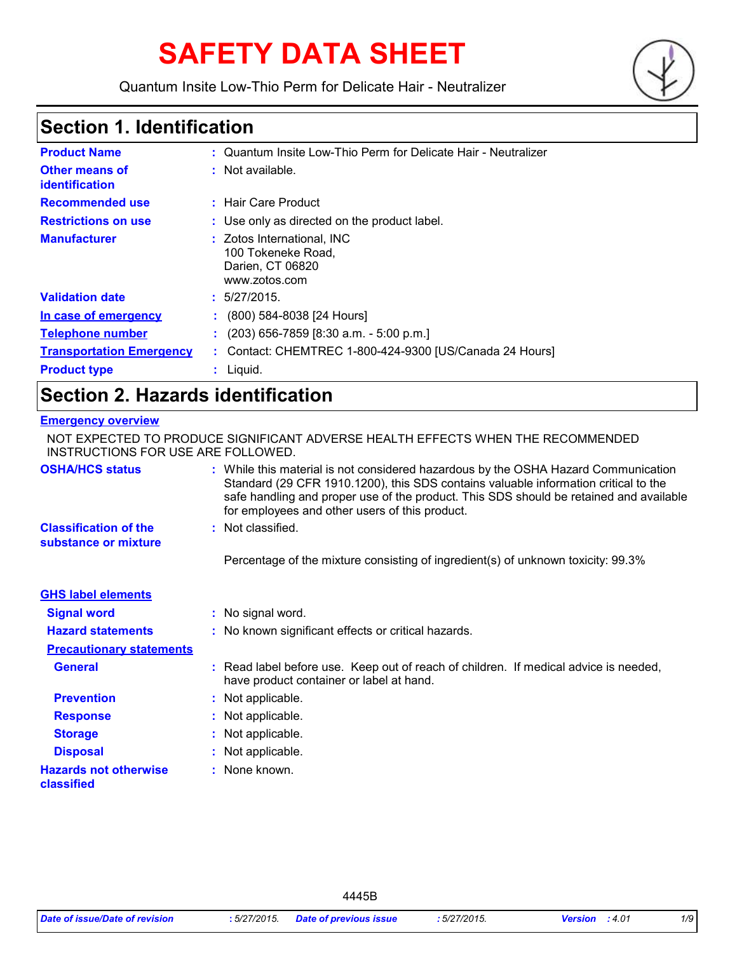# **SAFETY DATA SHEET**

Quantum Insite Low-Thio Perm for Delicate Hair - Neutralizer



### **Section 1. Identification**

| <b>Product Name</b>                     | : Quantum Insite Low-Thio Perm for Delicate Hair - Neutralizer                        |
|-----------------------------------------|---------------------------------------------------------------------------------------|
| <b>Other means of</b><br>identification | : Not available.                                                                      |
| <b>Recommended use</b>                  | : Hair Care Product                                                                   |
| <b>Restrictions on use</b>              | : Use only as directed on the product label.                                          |
| <b>Manufacturer</b>                     | : Zotos International, INC<br>100 Tokeneke Road,<br>Darien, CT 06820<br>www.zotos.com |
| <b>Validation date</b>                  | : 5/27/2015.                                                                          |
| In case of emergency                    | $(800)$ 584-8038 [24 Hours]                                                           |
| <b>Telephone number</b>                 | $(203)$ 656-7859 [8:30 a.m. - 5:00 p.m.]                                              |
| <b>Transportation Emergency</b>         | : Contact: CHEMTREC 1-800-424-9300 [US/Canada 24 Hours]                               |
| <b>Product type</b>                     | $:$ Liquid.                                                                           |

### **Section 2. Hazards identification**

#### **Emergency overview**

| INSTRUCTIONS FOR USE ARE FOLLOWED.                   | NOT EXPECTED TO PRODUCE SIGNIFICANT ADVERSE HEALTH EFFECTS WHEN THE RECOMMENDED                                                                                                                                                                                                                                       |
|------------------------------------------------------|-----------------------------------------------------------------------------------------------------------------------------------------------------------------------------------------------------------------------------------------------------------------------------------------------------------------------|
| <b>OSHA/HCS status</b>                               | : While this material is not considered hazardous by the OSHA Hazard Communication<br>Standard (29 CFR 1910.1200), this SDS contains valuable information critical to the<br>safe handling and proper use of the product. This SDS should be retained and available<br>for employees and other users of this product. |
| <b>Classification of the</b><br>substance or mixture | : Not classified.                                                                                                                                                                                                                                                                                                     |
|                                                      | Percentage of the mixture consisting of ingredient(s) of unknown toxicity: 99.3%                                                                                                                                                                                                                                      |
| <b>GHS label elements</b>                            |                                                                                                                                                                                                                                                                                                                       |
| <b>Signal word</b>                                   | : No signal word.                                                                                                                                                                                                                                                                                                     |
| <b>Hazard statements</b>                             | : No known significant effects or critical hazards.                                                                                                                                                                                                                                                                   |
| <b>Precautionary statements</b>                      |                                                                                                                                                                                                                                                                                                                       |
| <b>General</b>                                       | : Read label before use. Keep out of reach of children. If medical advice is needed,<br>have product container or label at hand.                                                                                                                                                                                      |
| <b>Prevention</b>                                    | : Not applicable.                                                                                                                                                                                                                                                                                                     |
| <b>Response</b>                                      | : Not applicable.                                                                                                                                                                                                                                                                                                     |
| <b>Storage</b>                                       | : Not applicable.                                                                                                                                                                                                                                                                                                     |
| <b>Disposal</b>                                      | : Not applicable.                                                                                                                                                                                                                                                                                                     |
| <b>Hazards not otherwise</b><br>classified           | : None known.                                                                                                                                                                                                                                                                                                         |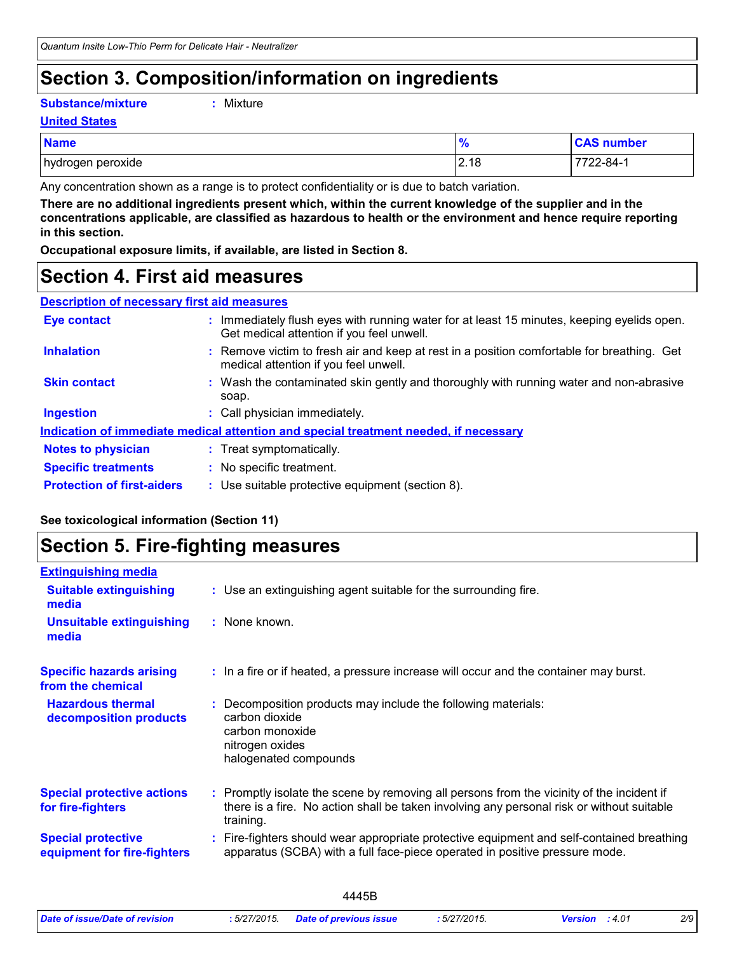### **Section 3. Composition/information on ingredients**

#### **Substance/mixture :**

: Mixture

#### **United States**

| <b>Name</b>       | $\bullet$<br>70 | <b>CAS number</b> |
|-------------------|-----------------|-------------------|
| hydrogen peroxide | 2.18            | 7722-84-1         |

Any concentration shown as a range is to protect confidentiality or is due to batch variation.

**There are no additional ingredients present which, within the current knowledge of the supplier and in the concentrations applicable, are classified as hazardous to health or the environment and hence require reporting in this section.**

**Occupational exposure limits, if available, are listed in Section 8.**

### **Section 4. First aid measures**

| <b>Description of necessary first aid measures</b> |  |  |
|----------------------------------------------------|--|--|
|                                                    |  |  |

| <b>Eye contact</b>                | : Immediately flush eyes with running water for at least 15 minutes, keeping eyelids open.<br>Get medical attention if you feel unwell. |
|-----------------------------------|-----------------------------------------------------------------------------------------------------------------------------------------|
| <b>Inhalation</b>                 | : Remove victim to fresh air and keep at rest in a position comfortable for breathing. Get<br>medical attention if you feel unwell.     |
| <b>Skin contact</b>               | : Wash the contaminated skin gently and thoroughly with running water and non-abrasive<br>soap.                                         |
| <b>Ingestion</b>                  | : Call physician immediately.                                                                                                           |
|                                   | Indication of immediate medical attention and special treatment needed, if necessary                                                    |
| <b>Notes to physician</b>         | : Treat symptomatically.                                                                                                                |
| <b>Specific treatments</b>        | : No specific treatment.                                                                                                                |
| <b>Protection of first-aiders</b> | : Use suitable protective equipment (section 8).                                                                                        |

#### **See toxicological information (Section 11)**

### **Section 5. Fire-fighting measures**

| <b>Extinguishing media</b>                               |                                                                                                                                                                                                     |
|----------------------------------------------------------|-----------------------------------------------------------------------------------------------------------------------------------------------------------------------------------------------------|
| <b>Suitable extinguishing</b><br>media                   | : Use an extinguishing agent suitable for the surrounding fire.                                                                                                                                     |
| <b>Unsuitable extinguishing</b><br>media                 | : None known.                                                                                                                                                                                       |
| <b>Specific hazards arising</b><br>from the chemical     | : In a fire or if heated, a pressure increase will occur and the container may burst.                                                                                                               |
| <b>Hazardous thermal</b><br>decomposition products       | Decomposition products may include the following materials:<br>carbon dioxide<br>carbon monoxide<br>nitrogen oxides<br>halogenated compounds                                                        |
| <b>Special protective actions</b><br>for fire-fighters   | : Promptly isolate the scene by removing all persons from the vicinity of the incident if<br>there is a fire. No action shall be taken involving any personal risk or without suitable<br>training. |
| <b>Special protective</b><br>equipment for fire-fighters | Fire-fighters should wear appropriate protective equipment and self-contained breathing<br>apparatus (SCBA) with a full face-piece operated in positive pressure mode.                              |
|                                                          |                                                                                                                                                                                                     |

| Date of issue/Date of revision | : 5/27/2015 | пет<br>. | F/27/204F<br>$\sim$<br>72015 | . 4.01<br>Version | 2/9<br>__ |
|--------------------------------|-------------|----------|------------------------------|-------------------|-----------|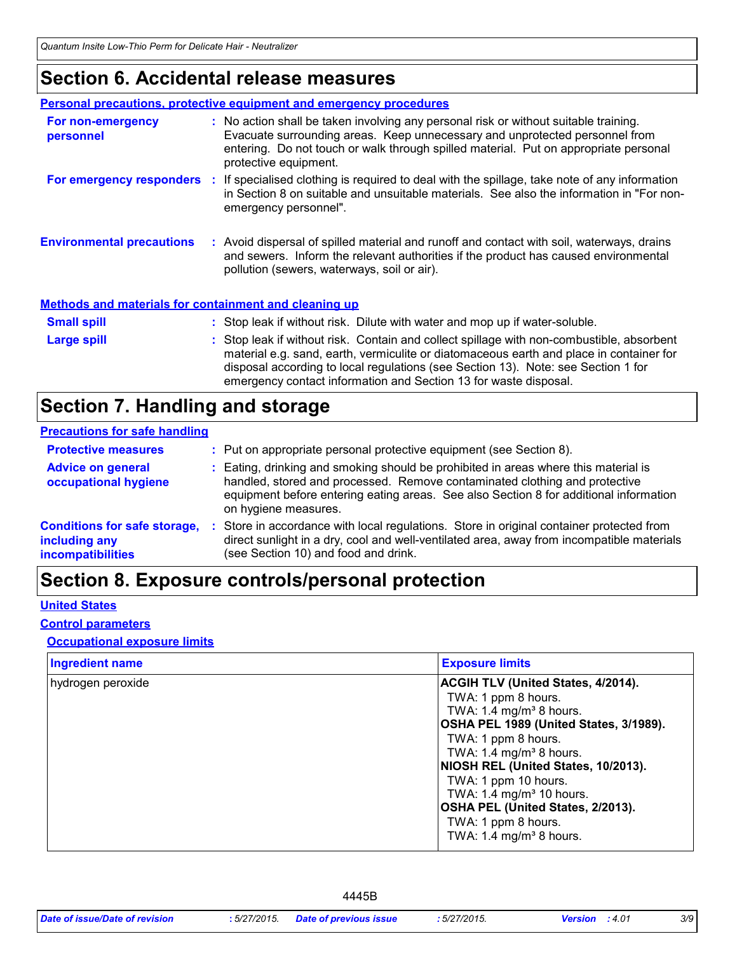### **Section 6. Accidental release measures**

|                                                              | <b>Personal precautions, protective equipment and emergency procedures</b>                                                                                                                                                                                                                                                                    |
|--------------------------------------------------------------|-----------------------------------------------------------------------------------------------------------------------------------------------------------------------------------------------------------------------------------------------------------------------------------------------------------------------------------------------|
| For non-emergency<br>personnel                               | : No action shall be taken involving any personal risk or without suitable training.<br>Evacuate surrounding areas. Keep unnecessary and unprotected personnel from<br>entering. Do not touch or walk through spilled material. Put on appropriate personal<br>protective equipment.                                                          |
|                                                              | For emergency responders : If specialised clothing is required to deal with the spillage, take note of any information<br>in Section 8 on suitable and unsuitable materials. See also the information in "For non-<br>emergency personnel".                                                                                                   |
| <b>Environmental precautions</b>                             | : Avoid dispersal of spilled material and runoff and contact with soil, waterways, drains<br>and sewers. Inform the relevant authorities if the product has caused environmental<br>pollution (sewers, waterways, soil or air).                                                                                                               |
| <b>Methods and materials for containment and cleaning up</b> |                                                                                                                                                                                                                                                                                                                                               |
| <b>Small spill</b>                                           | : Stop leak if without risk. Dilute with water and mop up if water-soluble.                                                                                                                                                                                                                                                                   |
| Large spill                                                  | : Stop leak if without risk. Contain and collect spillage with non-combustible, absorbent<br>material e.g. sand, earth, vermiculite or diatomaceous earth and place in container for<br>disposal according to local regulations (see Section 13). Note: see Section 1 for<br>emergency contact information and Section 13 for waste disposal. |

### **Section 7. Handling and storage**

#### **Precautions for safe handling**

| <b>Protective measures</b>                                                | : Put on appropriate personal protective equipment (see Section 8).                                                                                                                                                                                                                |
|---------------------------------------------------------------------------|------------------------------------------------------------------------------------------------------------------------------------------------------------------------------------------------------------------------------------------------------------------------------------|
| <b>Advice on general</b><br>occupational hygiene                          | : Eating, drinking and smoking should be prohibited in areas where this material is<br>handled, stored and processed. Remove contaminated clothing and protective<br>equipment before entering eating areas. See also Section 8 for additional information<br>on hygiene measures. |
| <b>Conditions for safe storage,</b><br>including any<br>incompatibilities | Store in accordance with local regulations. Store in original container protected from<br>direct sunlight in a dry, cool and well-ventilated area, away from incompatible materials<br>(see Section 10) and food and drink.                                                        |

### **Section 8. Exposure controls/personal protection**

#### **United States**

#### **Control parameters**

#### **Occupational exposure limits**

| <b>Ingredient name</b> | <b>Exposure limits</b>                    |
|------------------------|-------------------------------------------|
| hydrogen peroxide      | <b>ACGIH TLV (United States, 4/2014).</b> |
|                        | TWA: 1 ppm 8 hours.                       |
|                        | TWA: 1.4 mg/m <sup>3</sup> 8 hours.       |
|                        | OSHA PEL 1989 (United States, 3/1989).    |
|                        | TWA: 1 ppm 8 hours.                       |
|                        | TWA: 1.4 mg/m <sup>3</sup> 8 hours.       |
|                        | NIOSH REL (United States, 10/2013).       |
|                        | TWA: 1 ppm 10 hours.                      |
|                        | TWA: 1.4 mg/m <sup>3</sup> 10 hours.      |
|                        | OSHA PEL (United States, 2/2013).         |
|                        | TWA: 1 ppm 8 hours.                       |
|                        | TWA: 1.4 mg/m <sup>3</sup> 8 hours.       |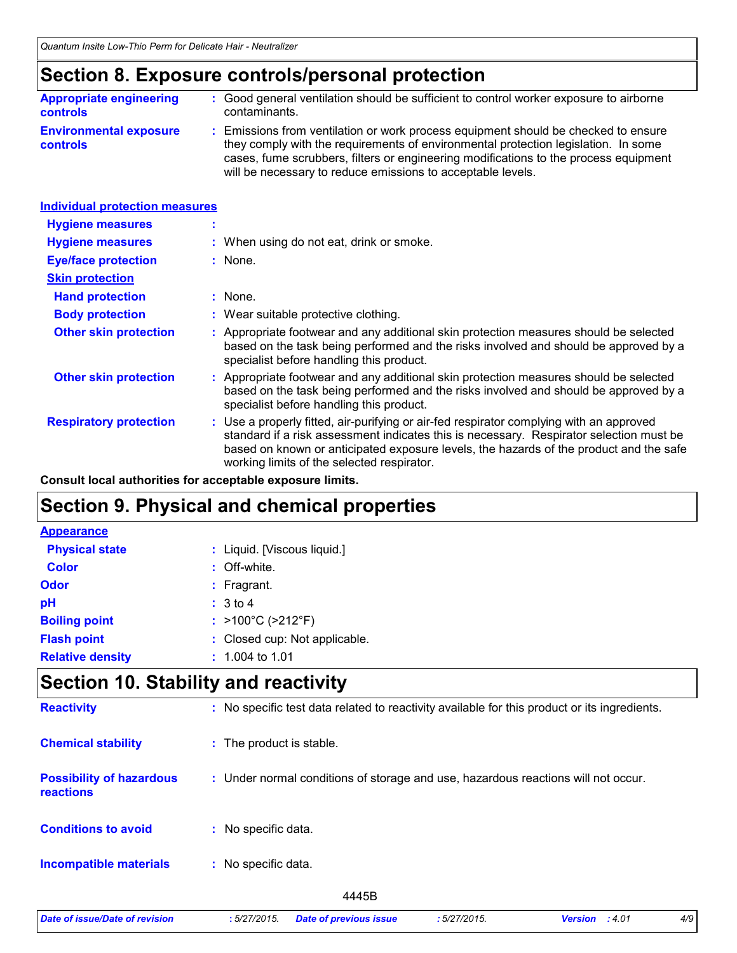### **Section 8. Exposure controls/personal protection**

| <b>Appropriate engineering</b>                   | : Good general ventilation should be sufficient to control worker exposure to airborne                                                                                                                                                                                                                                          |
|--------------------------------------------------|---------------------------------------------------------------------------------------------------------------------------------------------------------------------------------------------------------------------------------------------------------------------------------------------------------------------------------|
| <b>controls</b>                                  | contaminants.                                                                                                                                                                                                                                                                                                                   |
| <b>Environmental exposure</b><br><b>controls</b> | : Emissions from ventilation or work process equipment should be checked to ensure<br>they comply with the requirements of environmental protection legislation. In some<br>cases, fume scrubbers, filters or engineering modifications to the process equipment<br>will be necessary to reduce emissions to acceptable levels. |

| <b>Individual protection measures</b> |                                                                                                                                                                                                                                                                                                                            |
|---------------------------------------|----------------------------------------------------------------------------------------------------------------------------------------------------------------------------------------------------------------------------------------------------------------------------------------------------------------------------|
| <b>Hygiene measures</b>               |                                                                                                                                                                                                                                                                                                                            |
| <b>Hygiene measures</b>               | : When using do not eat, drink or smoke.                                                                                                                                                                                                                                                                                   |
| <b>Eye/face protection</b>            | : None.                                                                                                                                                                                                                                                                                                                    |
| <b>Skin protection</b>                |                                                                                                                                                                                                                                                                                                                            |
| <b>Hand protection</b>                | $:$ None.                                                                                                                                                                                                                                                                                                                  |
| <b>Body protection</b>                | : Wear suitable protective clothing.                                                                                                                                                                                                                                                                                       |
| <b>Other skin protection</b>          | : Appropriate footwear and any additional skin protection measures should be selected<br>based on the task being performed and the risks involved and should be approved by a<br>specialist before handling this product.                                                                                                  |
| <b>Other skin protection</b>          | : Appropriate footwear and any additional skin protection measures should be selected<br>based on the task being performed and the risks involved and should be approved by a<br>specialist before handling this product.                                                                                                  |
| <b>Respiratory protection</b>         | : Use a properly fitted, air-purifying or air-fed respirator complying with an approved<br>standard if a risk assessment indicates this is necessary. Respirator selection must be<br>based on known or anticipated exposure levels, the hazards of the product and the safe<br>working limits of the selected respirator. |

**Consult local authorities for acceptable exposure limits.**

### **Section 9. Physical and chemical properties**

| <b>Appearance</b>       |                                        |
|-------------------------|----------------------------------------|
| <b>Physical state</b>   | : Liquid. [Viscous liquid.]            |
| <b>Color</b>            | : Off-white.                           |
| Odor                    | $:$ Fragrant.                          |
| pH                      | : 3 to 4                               |
| <b>Boiling point</b>    | : $>100^{\circ}$ C ( $>212^{\circ}$ F) |
| <b>Flash point</b>      | : Closed cup: Not applicable.          |
| <b>Relative density</b> | $: 1.004$ to 1.01                      |

### **Section 10. Stability and reactivity**

| <b>Reactivity</b>                            | : No specific test data related to reactivity available for this product or its ingredients. |
|----------------------------------------------|----------------------------------------------------------------------------------------------|
| <b>Chemical stability</b>                    | : The product is stable.                                                                     |
| <b>Possibility of hazardous</b><br>reactions | : Under normal conditions of storage and use, hazardous reactions will not occur.            |
| <b>Conditions to avoid</b>                   | : No specific data.                                                                          |
| <b>Incompatible materials</b>                | No specific data.<br>÷.                                                                      |
|                                              | 4445B                                                                                        |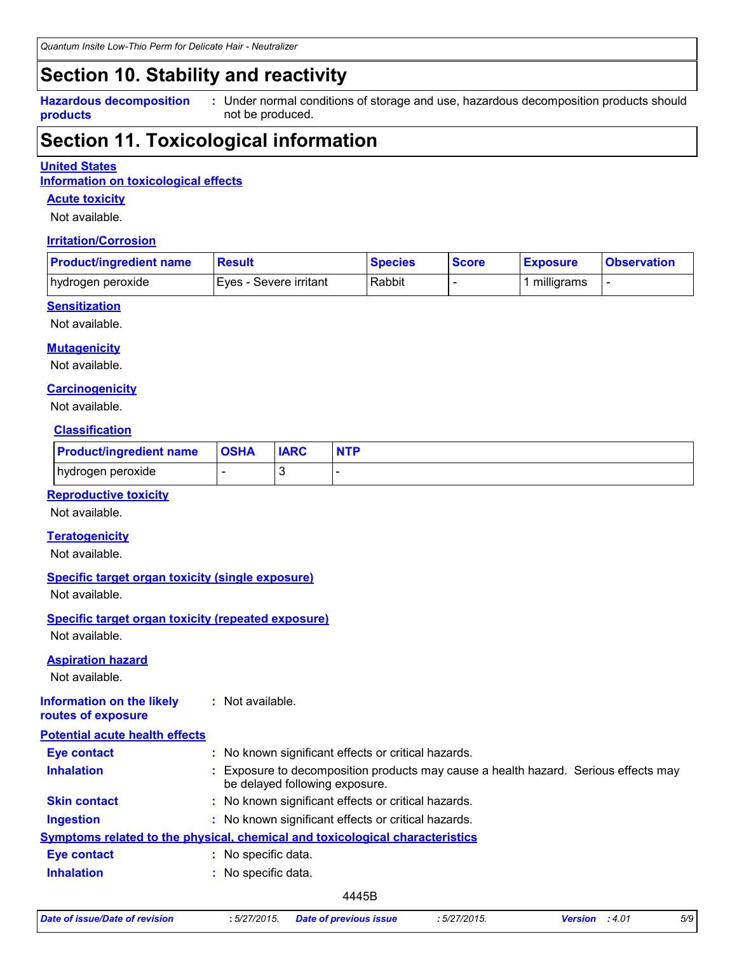### **Section 10. Stability and reactivity**

**Hazardous decomposition products**

Under normal conditions of storage and use, hazardous decomposition products should **:** not be produced.

### **Section 11. Toxicological information**

#### **United States**

**Information on toxicological effects**

#### **Acute toxicity**

Not available.

#### **Irritation/Corrosion**

| <b>Product/ingredient name</b> | <b>Result</b>           | <b>Species</b> | <b>Score</b> | <b>Exposure</b> | <b>Observation</b> |
|--------------------------------|-------------------------|----------------|--------------|-----------------|--------------------|
| hydrogen peroxide              | IEves - Severe irritant | Rabbit         |              | milligrams      |                    |

#### **Sensitization**

Not available.

#### **Mutagenicity**

Not available.

#### **Carcinogenicity**

Not available.

#### **Classification**

| <b>Product/ingredient name</b> | <b>OSHA</b> | <b>IARC</b> | <b>NTP</b> |
|--------------------------------|-------------|-------------|------------|
| hydrogen peroxide              |             |             |            |

#### **Reproductive toxicity**

Not available.

#### **Teratogenicity**

Not available.

#### **Specific target organ toxicity (single exposure)**

Not available.

### **Specific target organ toxicity (repeated exposure)**

Not available.

#### **Aspiration hazard**

Not available.

#### **Information on the likely routes of exposure :** Not available.

| <b>Potential acute health effects</b> |                                                                                                                     |
|---------------------------------------|---------------------------------------------------------------------------------------------------------------------|
| <b>Eye contact</b>                    | : No known significant effects or critical hazards.                                                                 |
| <b>Inhalation</b>                     | Exposure to decomposition products may cause a health hazard. Serious effects may<br>be delayed following exposure. |
| <b>Skin contact</b>                   | : No known significant effects or critical hazards.                                                                 |
| <b>Ingestion</b>                      | : No known significant effects or critical hazards.                                                                 |
|                                       | Symptoms related to the physical, chemical and toxicological characteristics                                        |
| <b>Eye contact</b>                    | No specific data.                                                                                                   |
| <b>Inhalation</b>                     | No specific data.                                                                                                   |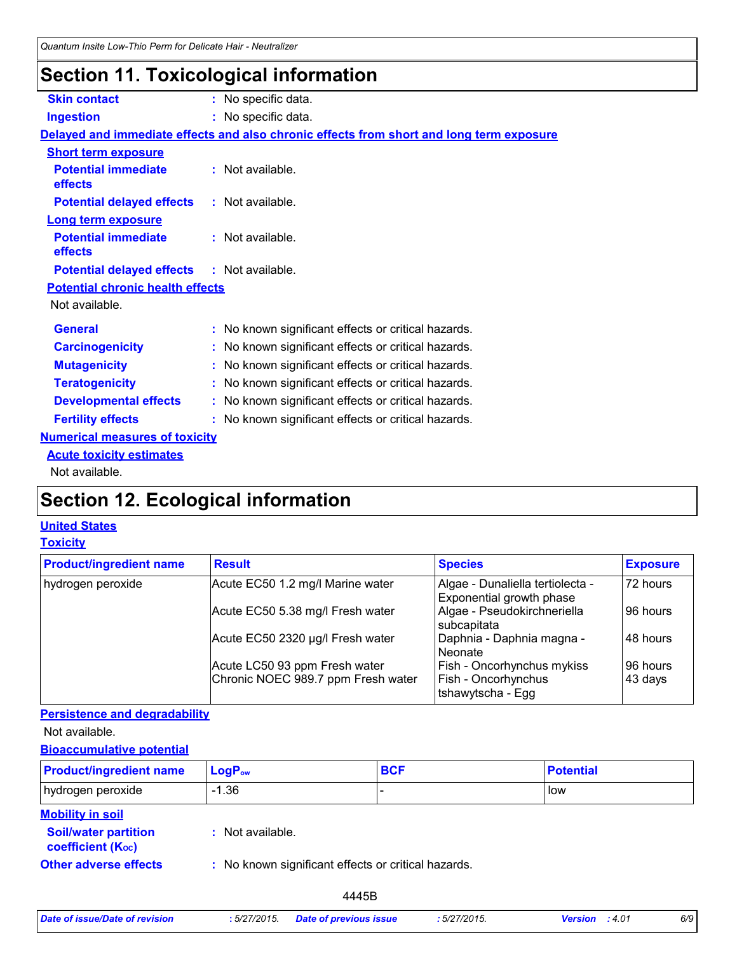### **Section 11. Toxicological information**

| <b>Skin contact</b>                               | : No specific data.                                                                      |
|---------------------------------------------------|------------------------------------------------------------------------------------------|
| <b>Ingestion</b>                                  | : No specific data.                                                                      |
|                                                   | Delayed and immediate effects and also chronic effects from short and long term exposure |
| <b>Short term exposure</b>                        |                                                                                          |
| <b>Potential immediate</b><br>effects             | : Not available.                                                                         |
| <b>Potential delayed effects</b>                  | : Not available.                                                                         |
| <b>Long term exposure</b>                         |                                                                                          |
| <b>Potential immediate</b><br>effects             | : Not available.                                                                         |
| <b>Potential delayed effects : Not available.</b> |                                                                                          |
| <b>Potential chronic health effects</b>           |                                                                                          |
| Not available.                                    |                                                                                          |
| <b>General</b>                                    | : No known significant effects or critical hazards.                                      |
| <b>Carcinogenicity</b>                            | : No known significant effects or critical hazards.                                      |
| <b>Mutagenicity</b>                               | : No known significant effects or critical hazards.                                      |
| <b>Teratogenicity</b>                             | : No known significant effects or critical hazards.                                      |
| <b>Developmental effects</b>                      | : No known significant effects or critical hazards.                                      |
| <b>Fertility effects</b>                          | : No known significant effects or critical hazards.                                      |
| <b>Numerical measures of toxicity</b>             |                                                                                          |
| <b>Acute toxicity estimates</b>                   |                                                                                          |
| Not available.                                    |                                                                                          |

## **Section 12. Ecological information**

### **United States**

#### **Toxicity**

| <b>Product/ingredient name</b> | <b>Result</b>                      | <b>Species</b>                                               | <b>Exposure</b> |
|--------------------------------|------------------------------------|--------------------------------------------------------------|-----------------|
| hydrogen peroxide              | Acute EC50 1.2 mg/l Marine water   | Algae - Dunaliella tertiolecta -<br>Exponential growth phase | 72 hours        |
|                                | Acute EC50 5.38 mg/l Fresh water   | Algae - Pseudokirchneriella<br>subcapitata                   | 96 hours        |
|                                | Acute EC50 2320 µg/l Fresh water   | Daphnia - Daphnia magna -<br>Neonate                         | 48 hours        |
|                                | Acute LC50 93 ppm Fresh water      | Fish - Oncorhynchus mykiss                                   | 96 hours        |
|                                | Chronic NOEC 989.7 ppm Fresh water | Fish - Oncorhynchus<br>tshawytscha - Egg                     | 43 days         |

#### **Persistence and degradability**

Not available.

#### **Bioaccumulative potential**

| <b>Product/ingredient name</b>                           | $LogP_{ow}$                                         | <b>BCF</b> | <b>Potential</b> |
|----------------------------------------------------------|-----------------------------------------------------|------------|------------------|
| hydrogen peroxide                                        | -1.36                                               |            | low              |
| <b>Mobility in soil</b><br><b>Soil/water partition</b>   | : Not available.                                    |            |                  |
| <b>coefficient (Koc)</b><br><b>Other adverse effects</b> | : No known significant effects or critical hazards. |            |                  |

| Date of issue/Date of revision | :5/27/2015. | <b>Date of previou</b> |
|--------------------------------|-------------|------------------------|
|--------------------------------|-------------|------------------------|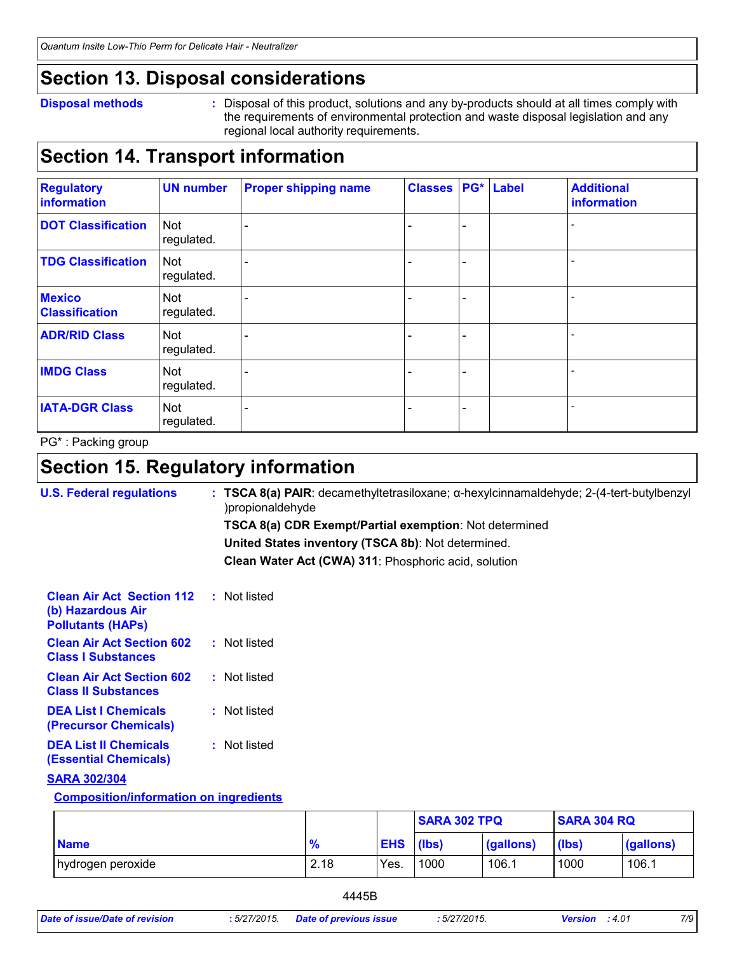### **Section 13. Disposal considerations**

#### **Disposal methods :**

Disposal of this product, solutions and any by-products should at all times comply with the requirements of environmental protection and waste disposal legislation and any regional local authority requirements.

### **Section 14. Transport information**

| <b>Regulatory</b><br>information       | <b>UN number</b>         | <b>Proper shipping name</b> | <b>Classes</b> |                          | PG* Label | <b>Additional</b><br>information |
|----------------------------------------|--------------------------|-----------------------------|----------------|--------------------------|-----------|----------------------------------|
| <b>DOT Classification</b>              | <b>Not</b><br>regulated. |                             |                | $\overline{\phantom{0}}$ |           |                                  |
| <b>TDG Classification</b>              | <b>Not</b><br>regulated. |                             |                | -                        |           |                                  |
| <b>Mexico</b><br><b>Classification</b> | Not<br>regulated.        |                             |                | $\overline{\phantom{a}}$ |           |                                  |
| <b>ADR/RID Class</b>                   | <b>Not</b><br>regulated. |                             |                | -                        |           |                                  |
| <b>IMDG Class</b>                      | Not<br>regulated.        |                             |                | -                        |           |                                  |
| <b>IATA-DGR Class</b>                  | <b>Not</b><br>regulated. |                             |                | -                        |           |                                  |

PG\* : Packing group

### **Section 15. Regulatory information**

| <b>U.S. Federal regulations</b>                                                   |  | TSCA 8(a) PAIR: decamethyltetrasiloxane; a-hexylcinnamaldehyde; 2-(4-tert-butylbenzyl<br>)propionaldehyde |
|-----------------------------------------------------------------------------------|--|-----------------------------------------------------------------------------------------------------------|
|                                                                                   |  | <b>TSCA 8(a) CDR Exempt/Partial exemption: Not determined</b>                                             |
|                                                                                   |  | United States inventory (TSCA 8b): Not determined.                                                        |
|                                                                                   |  | Clean Water Act (CWA) 311: Phosphoric acid, solution                                                      |
| <b>Clean Air Act Section 112</b><br>(b) Hazardous Air<br><b>Pollutants (HAPS)</b> |  | : Not listed                                                                                              |
| <b>Clean Air Act Section 602</b><br><b>Class I Substances</b>                     |  | : Not listed                                                                                              |
| <b>Clean Air Act Section 602</b><br><b>Class II Substances</b>                    |  | : Not listed                                                                                              |
| <b>DEA List I Chemicals</b><br>(Precursor Chemicals)                              |  | : Not listed                                                                                              |
| <b>DEA List II Chemicals</b><br><b>(Essential Chemicals)</b>                      |  | : Not listed                                                                                              |
| <b>SARA 302/304</b>                                                               |  |                                                                                                           |
| <b>Composition/information on ingredients</b>                                     |  |                                                                                                           |

|                   |      |            | <b>SARA 302 TPQ</b> |           | <b>SARA 304 RQ</b> |           |  |
|-------------------|------|------------|---------------------|-----------|--------------------|-----------|--|
| <b>Name</b>       | 70   | <b>EHS</b> | (lbs)               | (gallons) | (lbs)              | (gallons) |  |
| hydrogen peroxide | 2.18 | Yes.       | 1000                | 106.1     | 1000               | 106.1     |  |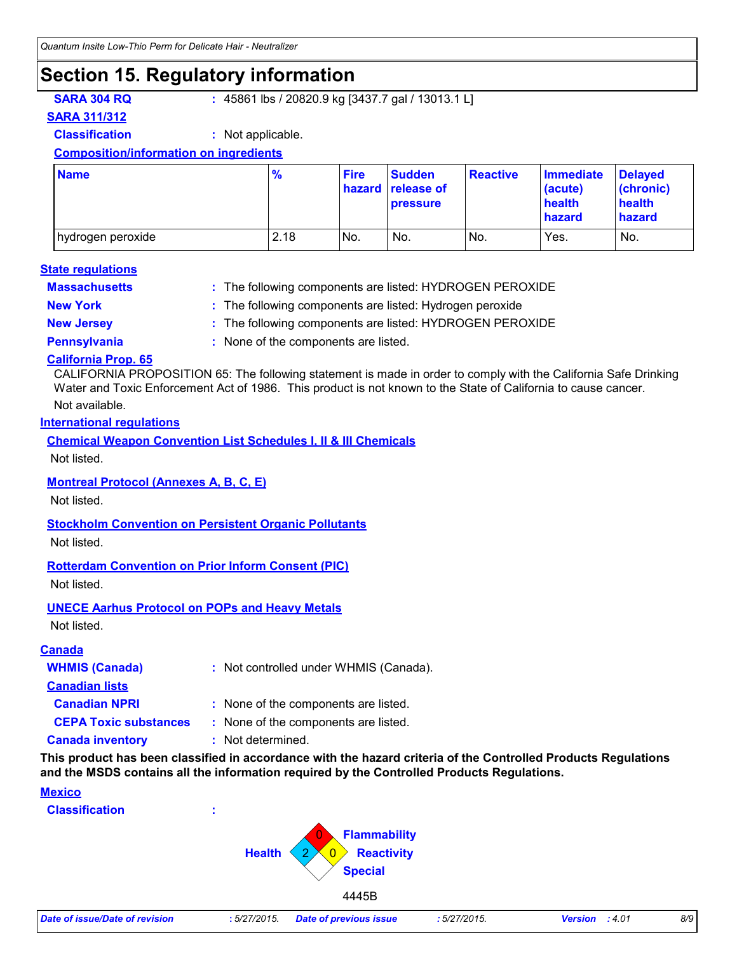### **Section 15. Regulatory information**

**SARA 304 RQ :** 45861 lbs / 20820.9 kg [3437.7 gal / 13013.1 L]

#### **SARA 311/312**

**Classification :** Not applicable.

#### **Composition/information on ingredients**

| <b>Name</b>         | $\frac{9}{6}$ | <b>Fire</b> | <b>Sudden</b><br>hazard release of<br><b>pressure</b> | <b>Reactive</b> | <b>Immediate</b><br>(acute)<br>health<br><b>hazard</b> | <b>Delayed</b><br>(chronic)<br>health<br>hazard |
|---------------------|---------------|-------------|-------------------------------------------------------|-----------------|--------------------------------------------------------|-------------------------------------------------|
| I hydrogen peroxide | 2.18          | No.         | No.                                                   | INo.            | Yes.                                                   | No.                                             |

#### **Massachusetts : State regulations**

The following components are listed: HYDROGEN PEROXIDE

- 
- **New York :** The following components are listed: Hydrogen peroxide
- **New Jersey :** The following components are listed: HYDROGEN PEROXIDE
- 
- **Pennsylvania :** None of the components are listed.

#### **California Prop. 65**

CALIFORNIA PROPOSITION 65: The following statement is made in order to comply with the California Safe Drinking Water and Toxic Enforcement Act of 1986. This product is not known to the State of California to cause cancer.

#### Not available.

#### **International regulations**

**Chemical Weapon Convention List Schedules I, II & III Chemicals**

Not listed.

#### **Montreal Protocol (Annexes A, B, C, E)**

Not listed.

#### **Stockholm Convention on Persistent Organic Pollutants**

Not listed.

#### **Rotterdam Convention on Prior Inform Consent (PIC)**

Not listed.

#### **UNECE Aarhus Protocol on POPs and Heavy Metals**

Not listed.

#### **Canada**

| <b>WHMIS (Canada)</b>        | : Not controlled under WHMIS (Canada). |
|------------------------------|----------------------------------------|
| <b>Canadian lists</b>        |                                        |
| <b>Canadian NPRI</b>         | : None of the components are listed.   |
| <b>CEPA Toxic substances</b> | : None of the components are listed.   |
| <b>Canada inventory</b>      | : Not determined.                      |

**This product has been classified in accordance with the hazard criteria of the Controlled Products Regulations and the MSDS contains all the information required by the Controlled Products Regulations.**

#### **Mexico**

**Classification :**